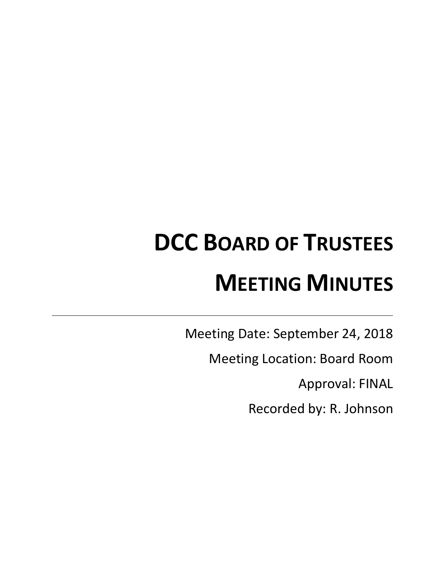# **DCC BOARD OF TRUSTEES MEETING MINUTES**

Meeting Date: September 24, 2018

Meeting Location: Board Room

Approval: FINAL

Recorded by: R. Johnson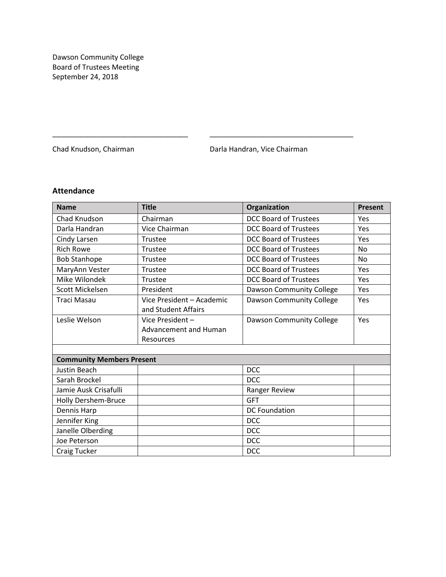Dawson Community College Board of Trustees Meeting September 24, 2018

Chad Knudson, Chairman **Darla Handran, Vice Chairman** 

# **Attendance**

| <b>Name</b>                      | <b>Title</b>                 | Organization                    | <b>Present</b> |
|----------------------------------|------------------------------|---------------------------------|----------------|
| Chad Knudson                     | Chairman                     | <b>DCC Board of Trustees</b>    | Yes            |
| Darla Handran                    | Vice Chairman                | <b>DCC Board of Trustees</b>    | Yes            |
| Cindy Larsen                     | Trustee                      | <b>DCC Board of Trustees</b>    | Yes            |
| <b>Rich Rowe</b>                 | Trustee                      | <b>DCC Board of Trustees</b>    | <b>No</b>      |
| <b>Bob Stanhope</b>              | Trustee                      | <b>DCC Board of Trustees</b>    | <b>No</b>      |
| MaryAnn Vester                   | Trustee                      | <b>DCC Board of Trustees</b>    | Yes            |
| Mike Wilondek                    | Trustee                      | <b>DCC Board of Trustees</b>    | Yes            |
| Scott Mickelsen                  | President                    | <b>Dawson Community College</b> | Yes            |
| <b>Traci Masau</b>               | Vice President - Academic    | Dawson Community College        | Yes            |
|                                  | and Student Affairs          |                                 |                |
| Leslie Welson                    | Vice President-              | Dawson Community College        | Yes            |
|                                  | <b>Advancement and Human</b> |                                 |                |
|                                  | Resources                    |                                 |                |
|                                  |                              |                                 |                |
| <b>Community Members Present</b> |                              |                                 |                |
| <b>Justin Beach</b>              |                              | <b>DCC</b>                      |                |
| Sarah Brockel                    |                              | <b>DCC</b>                      |                |
| Jamie Ausk Crisafulli            |                              | Ranger Review                   |                |
| Holly Dershem-Bruce              |                              | <b>GFT</b>                      |                |
| Dennis Harp                      |                              | <b>DC Foundation</b>            |                |
| Jennifer King                    |                              | <b>DCC</b>                      |                |
| Janelle Olberding                |                              | <b>DCC</b>                      |                |
| Joe Peterson                     |                              | <b>DCC</b>                      |                |
| Craig Tucker                     |                              | <b>DCC</b>                      |                |

\_\_\_\_\_\_\_\_\_\_\_\_\_\_\_\_\_\_\_\_\_\_\_\_\_\_\_\_\_\_\_\_\_\_ \_\_\_\_\_\_\_\_\_\_\_\_\_\_\_\_\_\_\_\_\_\_\_\_\_\_\_\_\_\_\_\_\_\_\_\_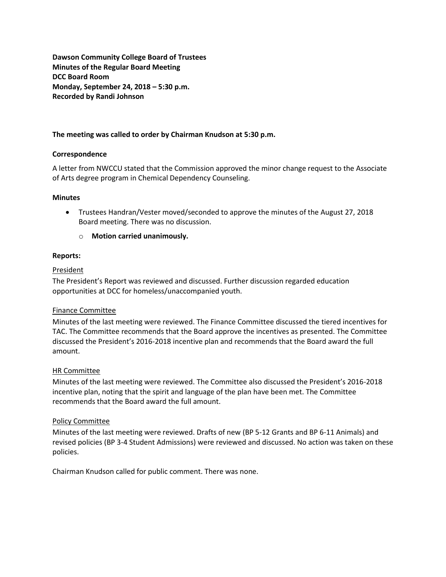**Dawson Community College Board of Trustees Minutes of the Regular Board Meeting DCC Board Room Monday, September 24, 2018 – 5:30 p.m. Recorded by Randi Johnson**

# **The meeting was called to order by Chairman Knudson at 5:30 p.m.**

# **Correspondence**

A letter from NWCCU stated that the Commission approved the minor change request to the Associate of Arts degree program in Chemical Dependency Counseling.

# **Minutes**

- Trustees Handran/Vester moved/seconded to approve the minutes of the August 27, 2018 Board meeting. There was no discussion.
	- o **Motion carried unanimously.**

# **Reports:**

# President

The President's Report was reviewed and discussed. Further discussion regarded education opportunities at DCC for homeless/unaccompanied youth.

# Finance Committee

Minutes of the last meeting were reviewed. The Finance Committee discussed the tiered incentives for TAC. The Committee recommends that the Board approve the incentives as presented. The Committee discussed the President's 2016-2018 incentive plan and recommends that the Board award the full amount.

# HR Committee

Minutes of the last meeting were reviewed. The Committee also discussed the President's 2016-2018 incentive plan, noting that the spirit and language of the plan have been met. The Committee recommends that the Board award the full amount.

# Policy Committee

Minutes of the last meeting were reviewed. Drafts of new (BP 5-12 Grants and BP 6-11 Animals) and revised policies (BP 3-4 Student Admissions) were reviewed and discussed. No action was taken on these policies.

Chairman Knudson called for public comment. There was none.